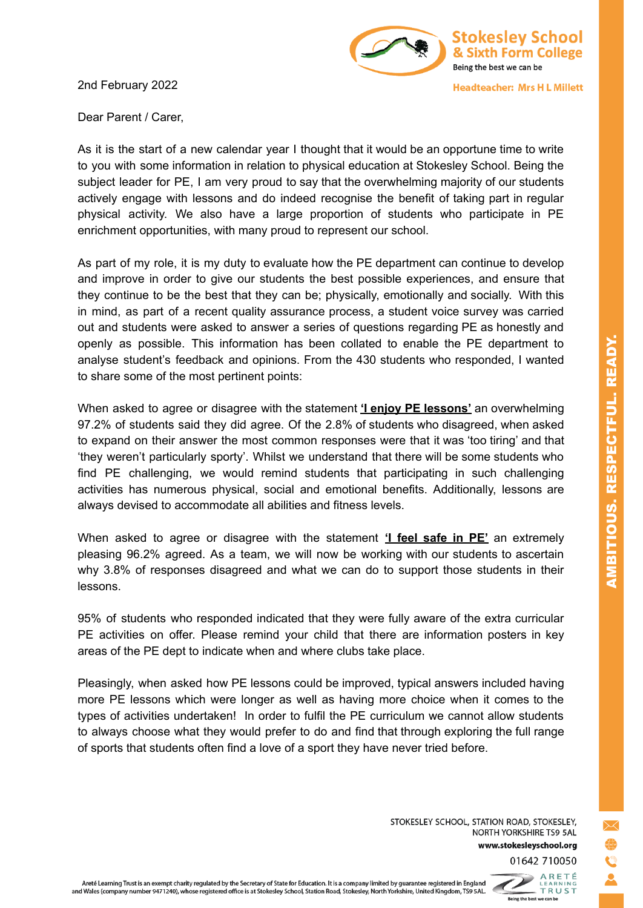2nd February 2022



**Headteacher: Mrs H L Millett** 

Dear Parent / Carer,

As it is the start of a new calendar year I thought that it would be an opportune time to write to you with some information in relation to physical education at Stokesley School. Being the subject leader for PE, I am very proud to say that the overwhelming majority of our students actively engage with lessons and do indeed recognise the benefit of taking part in regular physical activity. We also have a large proportion of students who participate in PE enrichment opportunities, with many proud to represent our school.

As part of my role, it is my duty to evaluate how the PE department can continue to develop and improve in order to give our students the best possible experiences, and ensure that they continue to be the best that they can be; physically, emotionally and socially. With this in mind, as part of a recent quality assurance process, a student voice survey was carried out and students were asked to answer a series of questions regarding PE as honestly and openly as possible. This information has been collated to enable the PE department to analyse student's feedback and opinions. From the 430 students who responded, I wanted to share some of the most pertinent points:

When asked to agree or disagree with the statement **'I enjoy PE lessons'** an overwhelming 97.2% of students said they did agree. Of the 2.8% of students who disagreed, when asked to expand on their answer the most common responses were that it was 'too tiring' and that 'they weren't particularly sporty'. Whilst we understand that there will be some students who find PE challenging, we would remind students that participating in such challenging activities has numerous physical, social and emotional benefits. Additionally, lessons are always devised to accommodate all abilities and fitness levels.

When asked to agree or disagree with the statement **'I feel safe in PE'** an extremely pleasing 96.2% agreed. As a team, we will now be working with our students to ascertain why 3.8% of responses disagreed and what we can do to support those students in their lessons.

95% of students who responded indicated that they were fully aware of the extra curricular PE activities on offer. Please remind your child that there are information posters in key areas of the PE dept to indicate when and where clubs take place.

Pleasingly, when asked how PE lessons could be improved, typical answers included having more PE lessons which were longer as well as having more choice when it comes to the types of activities undertaken! In order to fulfil the PE curriculum we cannot allow students to always choose what they would prefer to do and find that through exploring the full range of sports that students often find a love of a sport they have never tried before.

> STOKESLEY SCHOOL, STATION ROAD, STOKESLEY, NORTH YORKSHIRE TS9 5AL www.stokesleyschool.org 01642 710050

ARETÉ<br>LEARNING<br>- TRUST

Being the best we can be

AMBITIOUS. RESPECTFUL. READY.